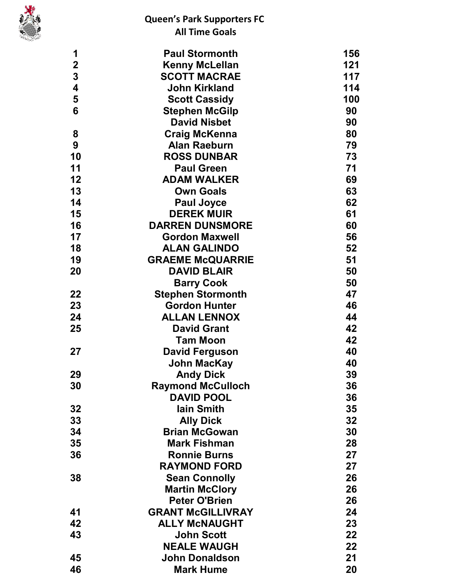

| 1                       | <b>Paul Stormonth</b>                   | 156      |
|-------------------------|-----------------------------------------|----------|
| $\overline{\mathbf{2}}$ | <b>Kenny McLellan</b>                   | 121      |
| 3                       | <b>SCOTT MACRAE</b>                     | 117      |
| $\overline{\mathbf{4}}$ | <b>John Kirkland</b>                    | 114      |
| 5                       | <b>Scott Cassidy</b>                    | 100      |
| 6                       | <b>Stephen McGilp</b>                   | 90       |
|                         | <b>David Nisbet</b>                     | 90       |
| 8                       | <b>Craig McKenna</b>                    | 80       |
| 9                       | <b>Alan Raeburn</b>                     | 79       |
| 10                      | <b>ROSS DUNBAR</b>                      | 73       |
| 11                      | <b>Paul Green</b>                       | 71       |
| 12                      | <b>ADAM WALKER</b>                      | 69       |
| 13                      | <b>Own Goals</b>                        | 63       |
| 14                      | <b>Paul Joyce</b>                       | 62       |
| 15                      | <b>DEREK MUIR</b>                       | 61       |
| 16                      | <b>DARREN DUNSMORE</b>                  | 60       |
| 17                      | <b>Gordon Maxwell</b>                   | 56       |
| 18                      | <b>ALAN GALINDO</b>                     | 52       |
| 19                      | <b>GRAEME McQUARRIE</b>                 | 51       |
| 20                      | <b>DAVID BLAIR</b>                      | 50       |
|                         | <b>Barry Cook</b>                       | 50       |
| 22                      | <b>Stephen Stormonth</b>                | 47       |
| 23                      | <b>Gordon Hunter</b>                    | 46       |
| 24                      | <b>ALLAN LENNOX</b>                     | 44       |
| 25                      | <b>David Grant</b>                      | 42       |
|                         | <b>Tam Moon</b>                         | 42       |
| 27                      | <b>David Ferguson</b>                   | 40       |
|                         | <b>John MacKay</b>                      | 40       |
| 29                      | <b>Andy Dick</b>                        | 39       |
| 30                      | <b>Raymond McCulloch</b>                | 36       |
|                         | <b>DAVID POOL</b>                       | 36       |
| 32                      | lain Smith                              | 35       |
| 33                      | <b>Ally Dick</b>                        | 32       |
| 34                      | <b>Brian McGowan</b>                    | 30       |
| 35                      | <b>Mark Fishman</b>                     | 28       |
| 36                      | <b>Ronnie Burns</b>                     | 27       |
|                         | <b>RAYMOND FORD</b>                     | 27       |
| 38                      | <b>Sean Connolly</b>                    | 26       |
|                         | <b>Martin McClory</b>                   | 26       |
|                         | <b>Peter O'Brien</b>                    | 26       |
| 41                      | <b>GRANT McGILLIVRAY</b>                | 24       |
| 42<br>43                | <b>ALLY MCNAUGHT</b>                    | 23<br>22 |
|                         | <b>John Scott</b><br><b>NEALE WAUGH</b> |          |
| 45                      |                                         | 22<br>21 |
|                         | <b>John Donaldson</b>                   |          |
| 46                      | <b>Mark Hume</b>                        | 20       |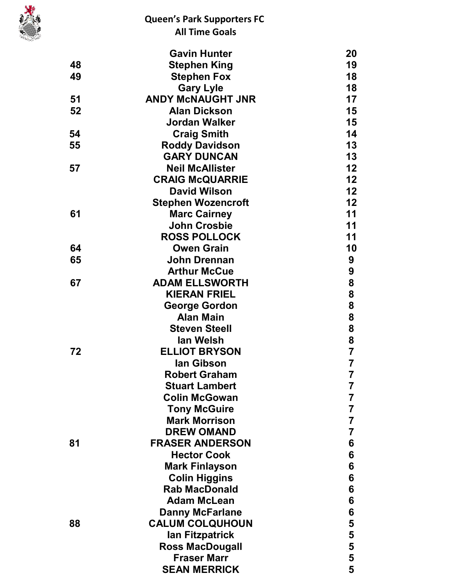

|    | <b>Gavin Hunter</b>       | 20             |
|----|---------------------------|----------------|
| 48 | <b>Stephen King</b>       | 19             |
| 49 | <b>Stephen Fox</b>        | 18             |
|    | <b>Gary Lyle</b>          | 18             |
| 51 | <b>ANDY MCNAUGHT JNR</b>  | 17             |
| 52 | <b>Alan Dickson</b>       | 15             |
|    | <b>Jordan Walker</b>      | 15             |
| 54 | <b>Craig Smith</b>        | 14             |
| 55 | <b>Roddy Davidson</b>     | 13             |
|    | <b>GARY DUNCAN</b>        | 13             |
| 57 | <b>Neil McAllister</b>    | 12             |
|    | <b>CRAIG McQUARRIE</b>    | 12             |
|    | <b>David Wilson</b>       | 12             |
|    | <b>Stephen Wozencroft</b> | 12             |
| 61 | <b>Marc Cairney</b>       | 11             |
|    | <b>John Crosbie</b>       | 11             |
|    | <b>ROSS POLLOCK</b>       | 11             |
| 64 | <b>Owen Grain</b>         | 10             |
| 65 | <b>John Drennan</b>       | 9              |
|    | <b>Arthur McCue</b>       | 9              |
| 67 | <b>ADAM ELLSWORTH</b>     | 8              |
|    | <b>KIERAN FRIEL</b>       | 8              |
|    | <b>George Gordon</b>      | 8              |
|    | <b>Alan Main</b>          | 8              |
|    | <b>Steven Steell</b>      | 8              |
|    | lan Welsh                 | 8              |
| 72 | <b>ELLIOT BRYSON</b>      | $\overline{7}$ |
|    | lan Gibson                | $\overline{7}$ |
|    | <b>Robert Graham</b>      | 7              |
|    | <b>Stuart Lambert</b>     | 7              |
|    | <b>Colin McGowan</b>      | 7              |
|    | <b>Tony McGuire</b>       | 7              |
|    | <b>Mark Morrison</b>      | 7              |
|    | <b>DREW OMAND</b>         | 7              |
| 81 | <b>FRASER ANDERSON</b>    | 6              |
|    | <b>Hector Cook</b>        | 6              |
|    | <b>Mark Finlayson</b>     | 6              |
|    | <b>Colin Higgins</b>      | 6              |
|    | <b>Rab MacDonald</b>      | 6              |
|    | <b>Adam McLean</b>        | 6              |
|    | <b>Danny McFarlane</b>    | 6              |
| 88 | <b>CALUM COLQUHOUN</b>    | 5              |
|    | lan Fitzpatrick           |                |
|    | <b>Ross MacDougall</b>    | $\frac{5}{5}$  |
|    | <b>Fraser Marr</b>        |                |
|    | <b>SEAN MERRICK</b>       | 5              |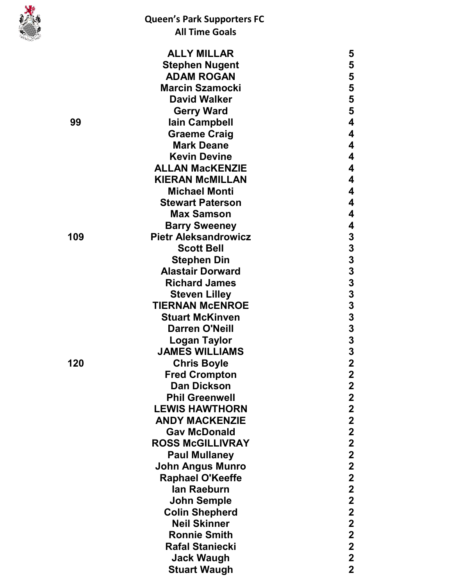

|     | <b>ALLY MILLAR</b>          | 5                                          |
|-----|-----------------------------|--------------------------------------------|
|     | <b>Stephen Nugent</b>       | 5                                          |
|     | <b>ADAM ROGAN</b>           | 5                                          |
|     | <b>Marcin Szamocki</b>      | 5                                          |
|     | <b>David Walker</b>         | 5                                          |
|     | <b>Gerry Ward</b>           | 5                                          |
| 99  | lain Campbell               | 4                                          |
|     | <b>Graeme Craig</b>         | 4                                          |
|     | <b>Mark Deane</b>           | 4                                          |
|     | <b>Kevin Devine</b>         | 4                                          |
|     | <b>ALLAN MacKENZIE</b>      | 4                                          |
|     | <b>KIERAN MCMILLAN</b>      | 4                                          |
|     | <b>Michael Monti</b>        | 4                                          |
|     | <b>Stewart Paterson</b>     | 4                                          |
|     | <b>Max Samson</b>           | 4                                          |
|     | <b>Barry Sweeney</b>        | 4                                          |
| 109 | <b>Pietr Aleksandrowicz</b> |                                            |
|     | <b>Scott Bell</b>           | $\frac{3}{3}$                              |
|     | <b>Stephen Din</b>          |                                            |
|     | <b>Alastair Dorward</b>     |                                            |
|     | <b>Richard James</b>        | $\begin{array}{c} 3 \\ 3 \\ 3 \end{array}$ |
|     | <b>Steven Lilley</b>        |                                            |
|     | <b>TIERNAN MCENROE</b>      | 3                                          |
|     | <b>Stuart McKinven</b>      |                                            |
|     | <b>Darren O'Neill</b>       | $\frac{3}{3}$                              |
|     | <b>Logan Taylor</b>         | 3                                          |
|     | <b>JAMES WILLIAMS</b>       | 3                                          |
| 120 | <b>Chris Boyle</b>          | $\overline{\mathbf{2}}$                    |
|     | <b>Fred Crompton</b>        | $\overline{2}$                             |
|     | <b>Dan Dickson</b>          | $\mathbf 2$                                |
|     | <b>Phil Greenwell</b>       | $\mathbf 2$                                |
|     | <b>LEWIS HAWTHORN</b>       | $\mathbf 2$                                |
|     | <b>ANDY MACKENZIE</b>       | $\mathbf{2}$                               |
|     | <b>Gav McDonald</b>         | $\mathbf 2$                                |
|     | <b>ROSS McGILLIVRAY</b>     | $\mathbf 2$                                |
|     | <b>Paul Mullaney</b>        | $\mathbf 2$                                |
|     | <b>John Angus Munro</b>     | $\overline{\mathbf{2}}$                    |
|     | <b>Raphael O'Keeffe</b>     | $\mathbf{2}$                               |
|     | lan Raeburn                 | $\mathbf{2}$                               |
|     | <b>John Semple</b>          | $\overline{\mathbf{2}}$                    |
|     | <b>Colin Shepherd</b>       | $\mathbf 2$                                |
|     | <b>Neil Skinner</b>         | $\mathbf 2$                                |
|     | <b>Ronnie Smith</b>         | $\mathbf 2$                                |
|     | <b>Rafal Staniecki</b>      | $\mathbf 2$                                |
|     | <b>Jack Waugh</b>           | $\mathbf 2$                                |
|     |                             | $\overline{2}$                             |
|     | <b>Stuart Waugh</b>         |                                            |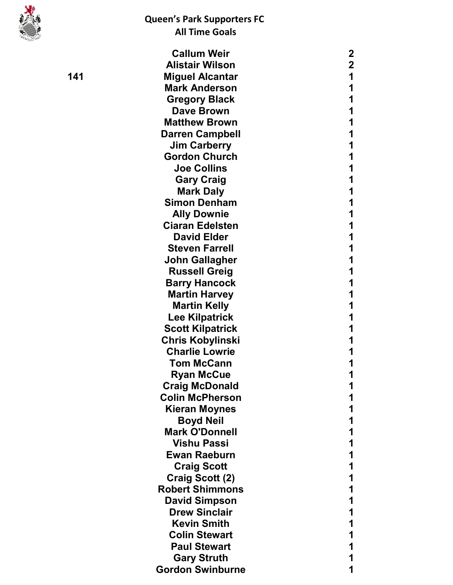

|   | <b>Callum Weir</b>      | 2           |  |
|---|-------------------------|-------------|--|
|   | <b>Alistair Wilson</b>  | $\mathbf 2$ |  |
| 1 | <b>Miguel Alcantar</b>  | 1           |  |
|   | <b>Mark Anderson</b>    | 1           |  |
|   | <b>Gregory Black</b>    | 1           |  |
|   | <b>Dave Brown</b>       | 1           |  |
|   | <b>Matthew Brown</b>    | 1           |  |
|   | <b>Darren Campbell</b>  | 1           |  |
|   | <b>Jim Carberry</b>     | 1           |  |
|   | <b>Gordon Church</b>    |             |  |
|   | <b>Joe Collins</b>      | 1           |  |
|   | <b>Gary Craig</b>       | 1           |  |
|   | <b>Mark Daly</b>        |             |  |
|   | <b>Simon Denham</b>     | 1           |  |
|   | <b>Ally Downie</b>      |             |  |
|   | <b>Ciaran Edelsten</b>  | 1           |  |
|   | <b>David Elder</b>      | 1           |  |
|   | <b>Steven Farrell</b>   | 1           |  |
|   | <b>John Gallagher</b>   | 1           |  |
|   | <b>Russell Greig</b>    |             |  |
|   | <b>Barry Hancock</b>    | 1           |  |
|   | <b>Martin Harvey</b>    | 1           |  |
|   | <b>Martin Kelly</b>     | 1           |  |
|   | <b>Lee Kilpatrick</b>   | 1           |  |
|   | <b>Scott Kilpatrick</b> |             |  |
|   | <b>Chris Kobylinski</b> | 1           |  |
|   | <b>Charlie Lowrie</b>   |             |  |
|   | <b>Tom McCann</b>       | 1           |  |
|   | <b>Ryan McCue</b>       | 1           |  |
|   | <b>Craig McDonald</b>   | 1           |  |
|   | <b>Colin McPherson</b>  |             |  |
|   | <b>Kieran Moynes</b>    |             |  |
|   | <b>Boyd Neil</b>        |             |  |
|   | <b>Mark O'Donnell</b>   | 1           |  |
|   | <b>Vishu Passi</b>      | 1           |  |
|   | <b>Ewan Raeburn</b>     | 1           |  |
|   | <b>Craig Scott</b>      |             |  |
|   | Craig Scott (2)         | 1           |  |
|   | <b>Robert Shimmons</b>  |             |  |
|   | <b>David Simpson</b>    | 1           |  |
|   | <b>Drew Sinclair</b>    | 1           |  |
|   | <b>Kevin Smith</b>      |             |  |
|   | <b>Colin Stewart</b>    | 1           |  |
|   | <b>Paul Stewart</b>     |             |  |
|   | <b>Gary Struth</b>      |             |  |
|   | <b>Gordon Swinburne</b> | 1           |  |
|   |                         |             |  |

1 4